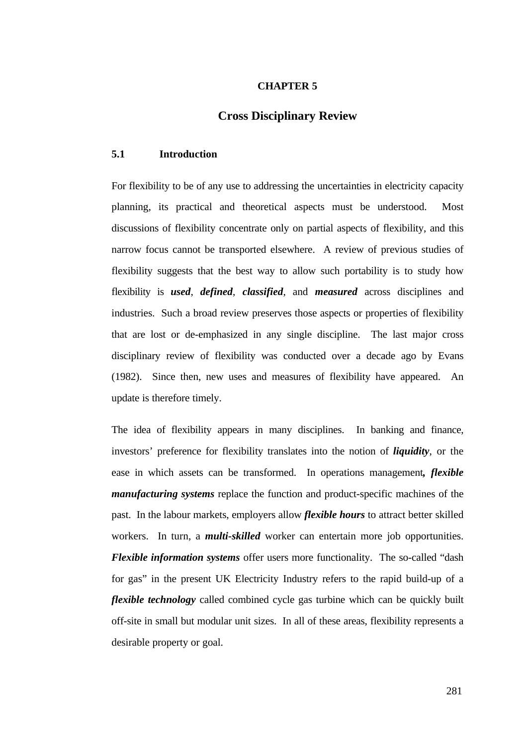#### **CHAPTER 5**

# **Cross Disciplinary Review**

#### **5.1 Introduction**

For flexibility to be of any use to addressing the uncertainties in electricity capacity planning, its practical and theoretical aspects must be understood. Most discussions of flexibility concentrate only on partial aspects of flexibility, and this narrow focus cannot be transported elsewhere. A review of previous studies of flexibility suggests that the best way to allow such portability is to study how flexibility is *used*, *defined*, *classified*, and *measured* across disciplines and industries. Such a broad review preserves those aspects or properties of flexibility that are lost or de-emphasized in any single discipline. The last major cross disciplinary review of flexibility was conducted over a decade ago by Evans (1982). Since then, new uses and measures of flexibility have appeared. An update is therefore timely.

The idea of flexibility appears in many disciplines. In banking and finance, investors' preference for flexibility translates into the notion of *liquidity*, or the ease in which assets can be transformed. In operations management*, flexible manufacturing systems* replace the function and product-specific machines of the past. In the labour markets, employers allow *flexible hours* to attract better skilled workers. In turn, a *multi-skilled* worker can entertain more job opportunities. *Flexible information systems* offer users more functionality. The so-called "dash for gas" in the present UK Electricity Industry refers to the rapid build-up of a *flexible technology* called combined cycle gas turbine which can be quickly built off-site in small but modular unit sizes. In all of these areas, flexibility represents a desirable property or goal.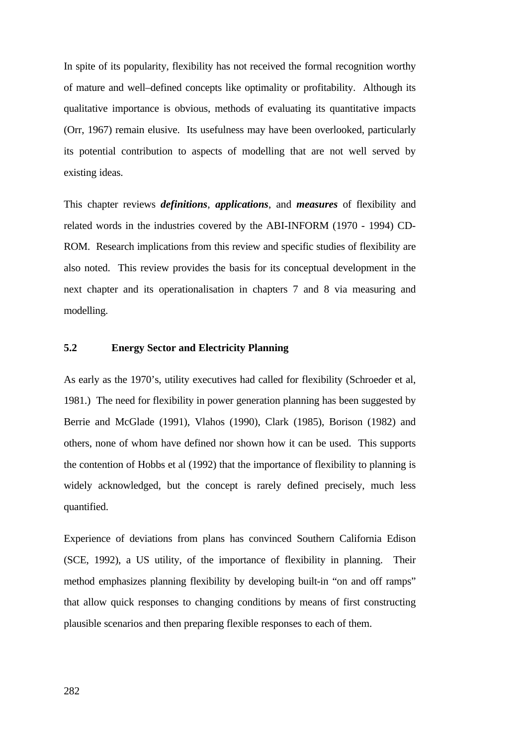In spite of its popularity, flexibility has not received the formal recognition worthy of mature and well–defined concepts like optimality or profitability. Although its qualitative importance is obvious, methods of evaluating its quantitative impacts (Orr, 1967) remain elusive. Its usefulness may have been overlooked, particularly its potential contribution to aspects of modelling that are not well served by existing ideas.

This chapter reviews *definitions*, *applications*, and *measures* of flexibility and related words in the industries covered by the ABI-INFORM (1970 - 1994) CD-ROM. Research implications from this review and specific studies of flexibility are also noted. This review provides the basis for its conceptual development in the next chapter and its operationalisation in chapters 7 and 8 via measuring and modelling.

## **5.2 Energy Sector and Electricity Planning**

As early as the 1970's, utility executives had called for flexibility (Schroeder et al, 1981.) The need for flexibility in power generation planning has been suggested by Berrie and McGlade (1991), Vlahos (1990), Clark (1985), Borison (1982) and others, none of whom have defined nor shown how it can be used. This supports the contention of Hobbs et al (1992) that the importance of flexibility to planning is widely acknowledged, but the concept is rarely defined precisely, much less quantified.

Experience of deviations from plans has convinced Southern California Edison (SCE, 1992), a US utility, of the importance of flexibility in planning. Their method emphasizes planning flexibility by developing built-in "on and off ramps" that allow quick responses to changing conditions by means of first constructing plausible scenarios and then preparing flexible responses to each of them.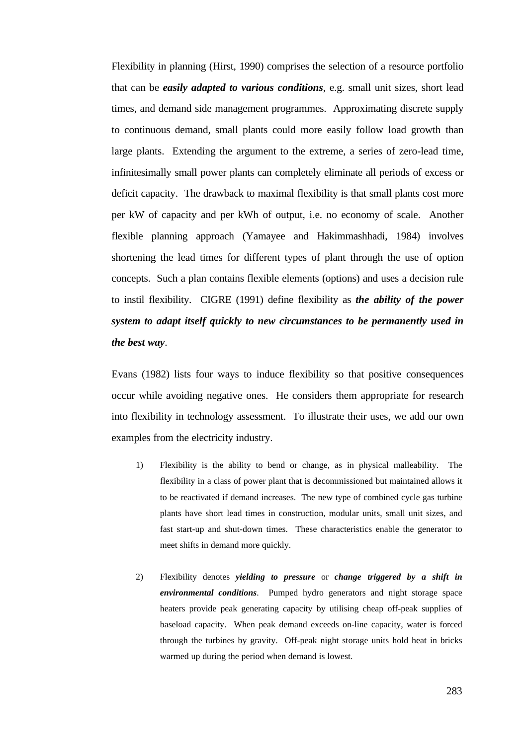Flexibility in planning (Hirst, 1990) comprises the selection of a resource portfolio that can be *easily adapted to various conditions*, e.g. small unit sizes, short lead times, and demand side management programmes. Approximating discrete supply to continuous demand, small plants could more easily follow load growth than large plants. Extending the argument to the extreme, a series of zero-lead time, infinitesimally small power plants can completely eliminate all periods of excess or deficit capacity. The drawback to maximal flexibility is that small plants cost more per kW of capacity and per kWh of output, i.e. no economy of scale. Another flexible planning approach (Yamayee and Hakimmashhadi, 1984) involves shortening the lead times for different types of plant through the use of option concepts. Such a plan contains flexible elements (options) and uses a decision rule to instil flexibility. CIGRE (1991) define flexibility as *the ability of the power system to adapt itself quickly to new circumstances to be permanently used in the best way*.

Evans (1982) lists four ways to induce flexibility so that positive consequences occur while avoiding negative ones. He considers them appropriate for research into flexibility in technology assessment. To illustrate their uses, we add our own examples from the electricity industry.

- 1) Flexibility is the ability to bend or change, as in physical malleability. The flexibility in a class of power plant that is decommissioned but maintained allows it to be reactivated if demand increases. The new type of combined cycle gas turbine plants have short lead times in construction, modular units, small unit sizes, and fast start-up and shut-down times. These characteristics enable the generator to meet shifts in demand more quickly.
- 2) Flexibility denotes *yielding to pressure* or *change triggered by a shift in environmental conditions*. Pumped hydro generators and night storage space heaters provide peak generating capacity by utilising cheap off-peak supplies of baseload capacity. When peak demand exceeds on-line capacity, water is forced through the turbines by gravity. Off-peak night storage units hold heat in bricks warmed up during the period when demand is lowest.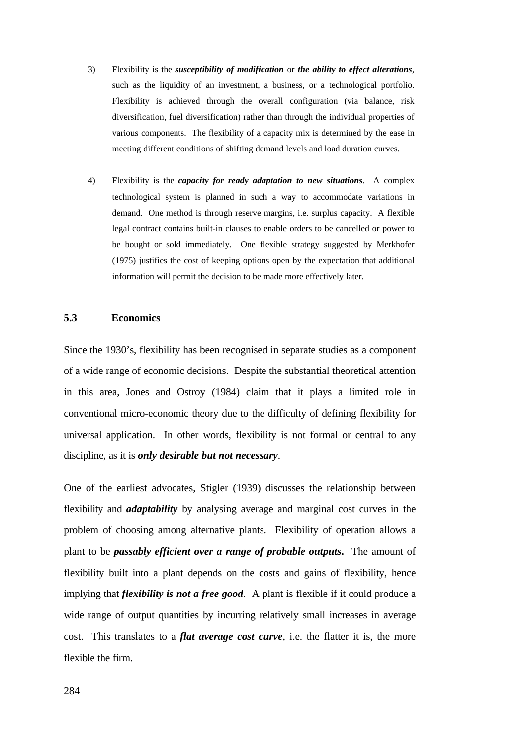- 3) Flexibility is the *susceptibility of modification* or *the ability to effect alterations*, such as the liquidity of an investment, a business, or a technological portfolio. Flexibility is achieved through the overall configuration (via balance, risk diversification, fuel diversification) rather than through the individual properties of various components. The flexibility of a capacity mix is determined by the ease in meeting different conditions of shifting demand levels and load duration curves.
- 4) Flexibility is the *capacity for ready adaptation to new situations*. A complex technological system is planned in such a way to accommodate variations in demand. One method is through reserve margins, i.e. surplus capacity. A flexible legal contract contains built-in clauses to enable orders to be cancelled or power to be bought or sold immediately. One flexible strategy suggested by Merkhofer (1975) justifies the cost of keeping options open by the expectation that additional information will permit the decision to be made more effectively later.

### **5.3 Economics**

Since the 1930's, flexibility has been recognised in separate studies as a component of a wide range of economic decisions. Despite the substantial theoretical attention in this area, Jones and Ostroy (1984) claim that it plays a limited role in conventional micro-economic theory due to the difficulty of defining flexibility for universal application. In other words, flexibility is not formal or central to any discipline, as it is *only desirable but not necessary*.

One of the earliest advocates, Stigler (1939) discusses the relationship between flexibility and *adaptability* by analysing average and marginal cost curves in the problem of choosing among alternative plants. Flexibility of operation allows a plant to be *passably efficient over a range of probable outputs***.** The amount of flexibility built into a plant depends on the costs and gains of flexibility, hence implying that *flexibility is not a free good*. A plant is flexible if it could produce a wide range of output quantities by incurring relatively small increases in average cost. This translates to a *flat average cost curve*, i.e. the flatter it is, the more flexible the firm.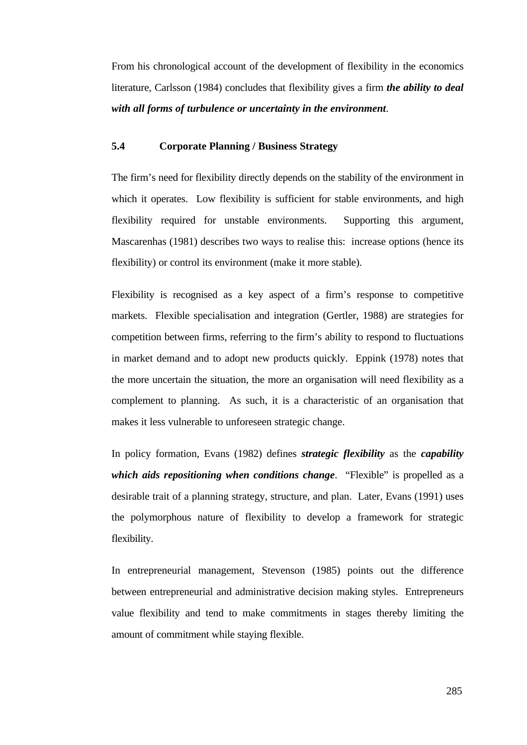From his chronological account of the development of flexibility in the economics literature, Carlsson (1984) concludes that flexibility gives a firm *the ability to deal with all forms of turbulence or uncertainty in the environment*.

## **5.4 Corporate Planning / Business Strategy**

The firm's need for flexibility directly depends on the stability of the environment in which it operates. Low flexibility is sufficient for stable environments, and high flexibility required for unstable environments. Supporting this argument, Mascarenhas (1981) describes two ways to realise this: increase options (hence its flexibility) or control its environment (make it more stable).

Flexibility is recognised as a key aspect of a firm's response to competitive markets. Flexible specialisation and integration (Gertler, 1988) are strategies for competition between firms, referring to the firm's ability to respond to fluctuations in market demand and to adopt new products quickly. Eppink (1978) notes that the more uncertain the situation, the more an organisation will need flexibility as a complement to planning. As such, it is a characteristic of an organisation that makes it less vulnerable to unforeseen strategic change.

In policy formation, Evans (1982) defines *strategic flexibility* as the *capability which aids repositioning when conditions change*. "Flexible" is propelled as a desirable trait of a planning strategy, structure, and plan. Later, Evans (1991) uses the polymorphous nature of flexibility to develop a framework for strategic flexibility.

In entrepreneurial management, Stevenson (1985) points out the difference between entrepreneurial and administrative decision making styles. Entrepreneurs value flexibility and tend to make commitments in stages thereby limiting the amount of commitment while staying flexible.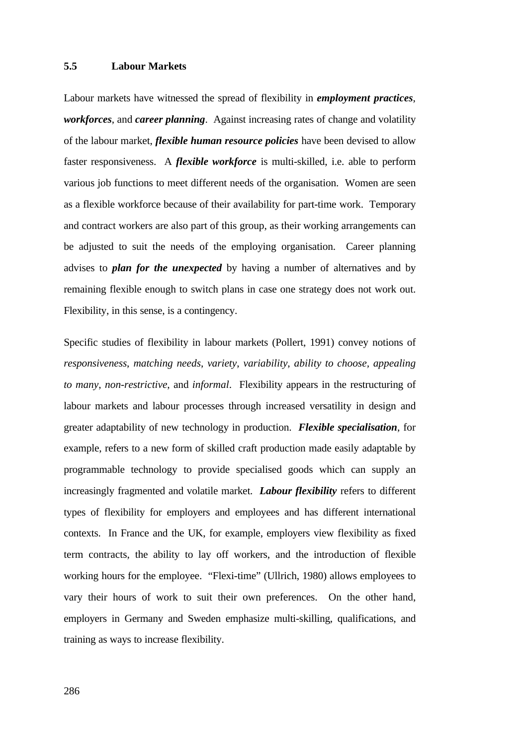### **5.5 Labour Markets**

Labour markets have witnessed the spread of flexibility in *employment practices*, *workforces*, and *career planning*. Against increasing rates of change and volatility of the labour market, *flexible human resource policies* have been devised to allow faster responsiveness. A *flexible workforce* is multi-skilled, i.e. able to perform various job functions to meet different needs of the organisation. Women are seen as a flexible workforce because of their availability for part-time work. Temporary and contract workers are also part of this group, as their working arrangements can be adjusted to suit the needs of the employing organisation. Career planning advises to *plan for the unexpected* by having a number of alternatives and by remaining flexible enough to switch plans in case one strategy does not work out. Flexibility, in this sense, is a contingency.

Specific studies of flexibility in labour markets (Pollert, 1991) convey notions of *responsiveness*, *matching needs*, *variety*, *variability*, *ability to choose, appealing to many*, *non-restrictive*, and *informal*. Flexibility appears in the restructuring of labour markets and labour processes through increased versatility in design and greater adaptability of new technology in production. *Flexible specialisation*, for example, refers to a new form of skilled craft production made easily adaptable by programmable technology to provide specialised goods which can supply an increasingly fragmented and volatile market. *Labour flexibility* refers to different types of flexibility for employers and employees and has different international contexts. In France and the UK, for example, employers view flexibility as fixed term contracts, the ability to lay off workers, and the introduction of flexible working hours for the employee. "Flexi-time" (Ullrich, 1980) allows employees to vary their hours of work to suit their own preferences. On the other hand, employers in Germany and Sweden emphasize multi-skilling, qualifications, and training as ways to increase flexibility.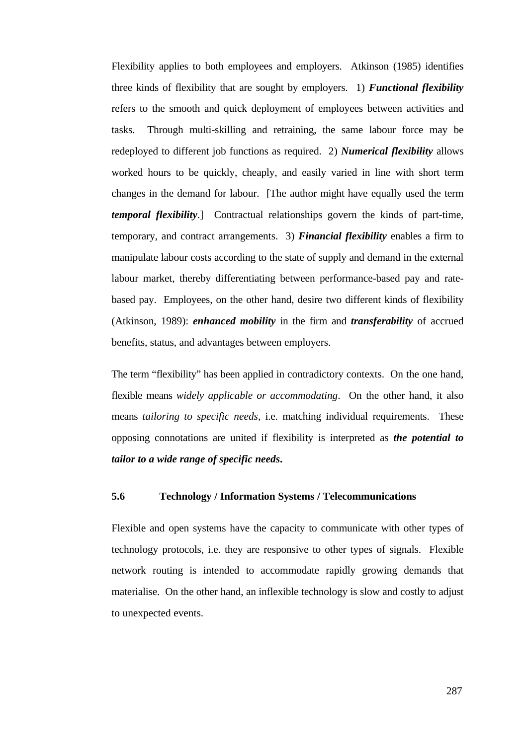Flexibility applies to both employees and employers. Atkinson (1985) identifies three kinds of flexibility that are sought by employers. 1) *Functional flexibility* refers to the smooth and quick deployment of employees between activities and tasks. Through multi-skilling and retraining, the same labour force may be redeployed to different job functions as required. 2) *Numerical flexibility* allows worked hours to be quickly, cheaply, and easily varied in line with short term changes in the demand for labour. [The author might have equally used the term *temporal flexibility*.] Contractual relationships govern the kinds of part-time, temporary, and contract arrangements. 3) *Financial flexibility* enables a firm to manipulate labour costs according to the state of supply and demand in the external labour market, thereby differentiating between performance-based pay and ratebased pay. Employees, on the other hand, desire two different kinds of flexibility (Atkinson, 1989): *enhanced mobility* in the firm and *transferability* of accrued benefits, status, and advantages between employers.

The term "flexibility" has been applied in contradictory contexts. On the one hand, flexible means *widely applicable or accommodating*. On the other hand, it also means *tailoring to specific needs*, i.e. matching individual requirements. These opposing connotations are united if flexibility is interpreted as *the potential to tailor to a wide range of specific needs***.**

#### **5.6 Technology / Information Systems / Telecommunications**

Flexible and open systems have the capacity to communicate with other types of technology protocols, i.e. they are responsive to other types of signals. Flexible network routing is intended to accommodate rapidly growing demands that materialise. On the other hand, an inflexible technology is slow and costly to adjust to unexpected events.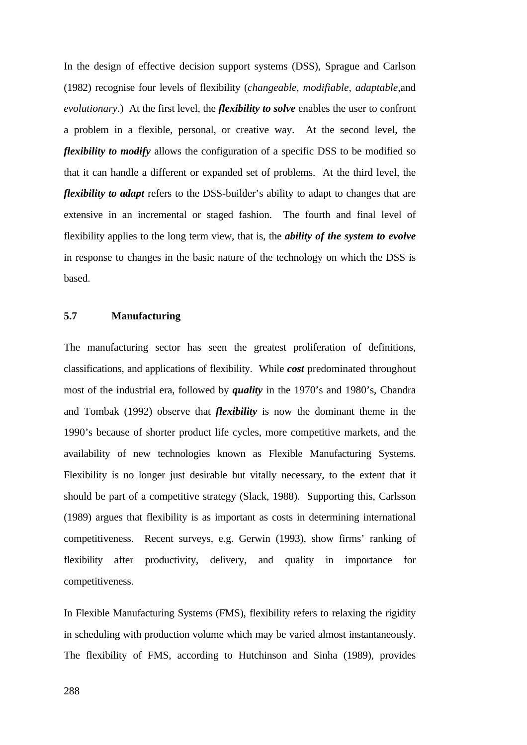In the design of effective decision support systems (DSS), Sprague and Carlson (1982) recognise four levels of flexibility (*changeable*, *modifiable*, *adaptable*,and *evolutionary*.) At the first level, the *flexibility to solve* enables the user to confront a problem in a flexible, personal, or creative way. At the second level, the *flexibility to modify* allows the configuration of a specific DSS to be modified so that it can handle a different or expanded set of problems. At the third level, the *flexibility to adapt* refers to the DSS-builder's ability to adapt to changes that are extensive in an incremental or staged fashion. The fourth and final level of flexibility applies to the long term view, that is, the *ability of the system to evolve* in response to changes in the basic nature of the technology on which the DSS is based.

## **5.7 Manufacturing**

The manufacturing sector has seen the greatest proliferation of definitions, classifications, and applications of flexibility. While *cost* predominated throughout most of the industrial era, followed by *quality* in the 1970's and 1980's, Chandra and Tombak (1992) observe that *flexibility* is now the dominant theme in the 1990's because of shorter product life cycles, more competitive markets, and the availability of new technologies known as Flexible Manufacturing Systems. Flexibility is no longer just desirable but vitally necessary, to the extent that it should be part of a competitive strategy (Slack, 1988). Supporting this, Carlsson (1989) argues that flexibility is as important as costs in determining international competitiveness. Recent surveys, e.g. Gerwin (1993), show firms' ranking of flexibility after productivity, delivery, and quality in importance for competitiveness.

In Flexible Manufacturing Systems (FMS), flexibility refers to relaxing the rigidity in scheduling with production volume which may be varied almost instantaneously. The flexibility of FMS, according to Hutchinson and Sinha (1989), provides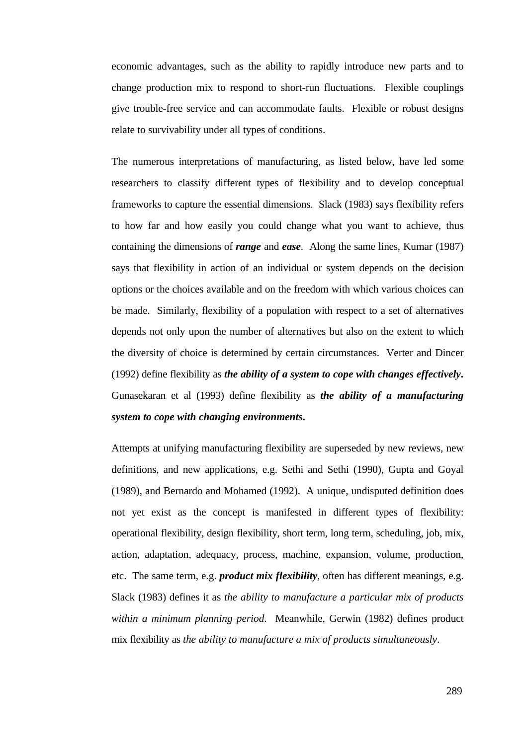economic advantages, such as the ability to rapidly introduce new parts and to change production mix to respond to short-run fluctuations. Flexible couplings give trouble-free service and can accommodate faults. Flexible or robust designs relate to survivability under all types of conditions.

The numerous interpretations of manufacturing, as listed below, have led some researchers to classify different types of flexibility and to develop conceptual frameworks to capture the essential dimensions. Slack (1983) says flexibility refers to how far and how easily you could change what you want to achieve, thus containing the dimensions of *range* and *ease*. Along the same lines, Kumar (1987) says that flexibility in action of an individual or system depends on the decision options or the choices available and on the freedom with which various choices can be made. Similarly, flexibility of a population with respect to a set of alternatives depends not only upon the number of alternatives but also on the extent to which the diversity of choice is determined by certain circumstances. Verter and Dincer (1992) define flexibility as *the ability of a system to cope with changes effectively***.** Gunasekaran et al (1993) define flexibility as *the ability of a manufacturing system to cope with changing environments***.**

Attempts at unifying manufacturing flexibility are superseded by new reviews, new definitions, and new applications, e.g. Sethi and Sethi (1990), Gupta and Goyal (1989), and Bernardo and Mohamed (1992). A unique, undisputed definition does not yet exist as the concept is manifested in different types of flexibility: operational flexibility, design flexibility, short term, long term, scheduling, job, mix, action, adaptation, adequacy, process, machine, expansion, volume, production, etc. The same term, e.g. *product mix flexibility*, often has different meanings, e.g. Slack (1983) defines it as *the ability to manufacture a particular mix of products within a minimum planning period*. Meanwhile, Gerwin (1982) defines product mix flexibility as *the ability to manufacture a mix of products simultaneously*.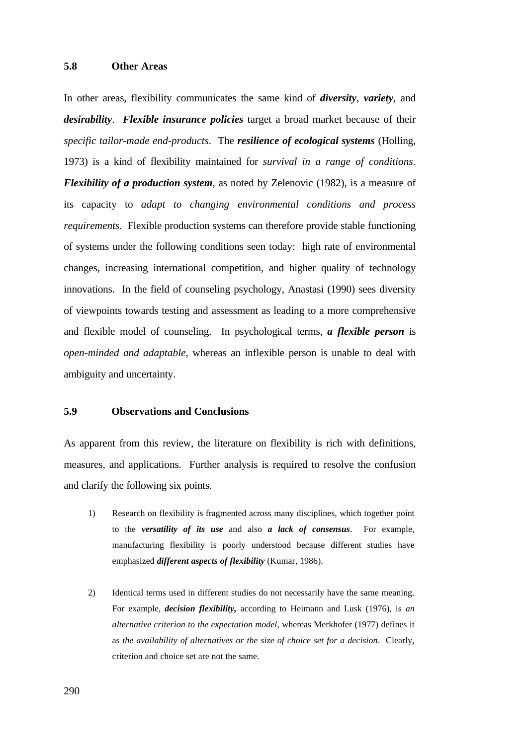### **5.8 Other Areas**

In other areas, flexibility communicates the same kind of *diversity*, *variety*, and *desirability*. *Flexible insurance policies* target a broad market because of their *specific tailor-made end-products*. The *resilience of ecological systems* (Holling, 1973) is a kind of flexibility maintained for *survival in a range of conditions*. *Flexibility of a production system*, as noted by Zelenovic (1982), is a measure of its capacity to *adapt to changing environmental conditions and process requirements*. Flexible production systems can therefore provide stable functioning of systems under the following conditions seen today: high rate of environmental changes, increasing international competition, and higher quality of technology innovations. In the field of counseling psychology, Anastasi (1990) sees diversity of viewpoints towards testing and assessment as leading to a more comprehensive and flexible model of counseling. In psychological terms, *a flexible person* is *open-minded and adaptable*, whereas an inflexible person is unable to deal with ambiguity and uncertainty.

### **5.9 Observations and Conclusions**

As apparent from this review, the literature on flexibility is rich with definitions, measures, and applications. Further analysis is required to resolve the confusion and clarify the following six points.

- 1) Research on flexibility is fragmented across many disciplines, which together point to the *versatility of its use* and also *a lack of consensus*. For example, manufacturing flexibility is poorly understood because different studies have emphasized *different aspects of flexibility* (Kumar, 1986).
- 2) Identical terms used in different studies do not necessarily have the same meaning. For example, *decision flexibility,* according to Heimann and Lusk (1976), is *an alternative criterion to the expectation model*, whereas Merkhofer (1977) defines it as *the availability of alternatives or the size of choice set for a decision*. Clearly, criterion and choice set are not the same.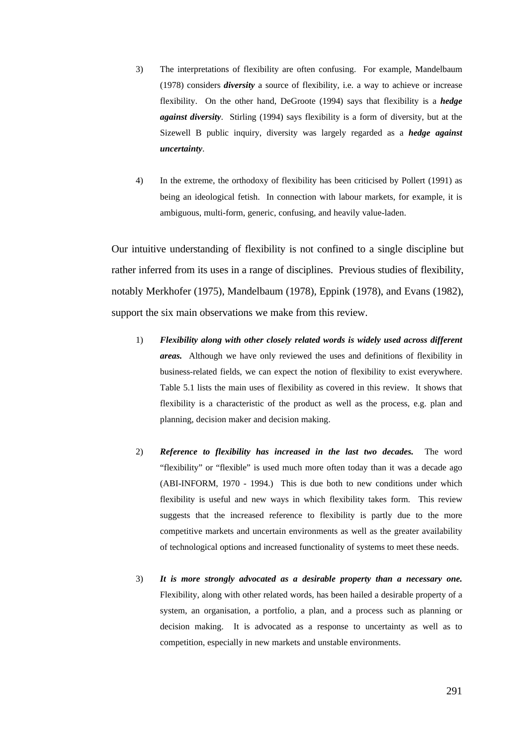- 3) The interpretations of flexibility are often confusing. For example, Mandelbaum (1978) considers *diversity* a source of flexibility, i.e. a way to achieve or increase flexibility. On the other hand, DeGroote (1994) says that flexibility is a *hedge against diversity*. Stirling (1994) says flexibility is a form of diversity, but at the Sizewell B public inquiry, diversity was largely regarded as a *hedge against uncertainty*.
- 4) In the extreme, the orthodoxy of flexibility has been criticised by Pollert (1991) as being an ideological fetish. In connection with labour markets, for example, it is ambiguous, multi-form, generic, confusing, and heavily value-laden.

Our intuitive understanding of flexibility is not confined to a single discipline but rather inferred from its uses in a range of disciplines. Previous studies of flexibility, notably Merkhofer (1975), Mandelbaum (1978), Eppink (1978), and Evans (1982), support the six main observations we make from this review.

- 1) *Flexibility along with other closely related words is widely used across different areas.* Although we have only reviewed the uses and definitions of flexibility in business-related fields, we can expect the notion of flexibility to exist everywhere. Table 5.1 lists the main uses of flexibility as covered in this review. It shows that flexibility is a characteristic of the product as well as the process, e.g. plan and planning, decision maker and decision making.
- 2) *Reference to flexibility has increased in the last two decades.* The word "flexibility" or "flexible" is used much more often today than it was a decade ago (ABI-INFORM, 1970 - 1994.) This is due both to new conditions under which flexibility is useful and new ways in which flexibility takes form. This review suggests that the increased reference to flexibility is partly due to the more competitive markets and uncertain environments as well as the greater availability of technological options and increased functionality of systems to meet these needs.
- 3) *It is more strongly advocated as a desirable property than a necessary one.* Flexibility, along with other related words, has been hailed a desirable property of a system, an organisation, a portfolio, a plan, and a process such as planning or decision making. It is advocated as a response to uncertainty as well as to competition, especially in new markets and unstable environments.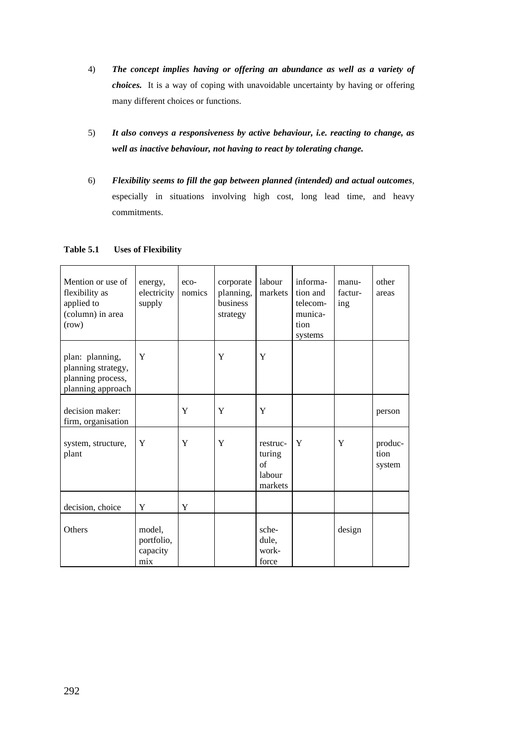- 4) *The concept implies having or offering an abundance as well as a variety of choices.* It is a way of coping with unavoidable uncertainty by having or offering many different choices or functions.
- 5) *It also conveys a responsiveness by active behaviour, i.e. reacting to change, as well as inactive behaviour, not having to react by tolerating change.*
- 6) *Flexibility seems to fill the gap between planned (intended) and actual outcomes*, especially in situations involving high cost, long lead time, and heavy commitments.

| Mention or use of<br>flexibility as<br>applied to<br>(column) in area<br>(row)  | energy,<br>electricity<br>supply        | eco-<br>nomics | corporate<br>planning,<br>business<br>strategy | labour<br>markets                             | informa-<br>tion and<br>telecom-<br>munica-<br>tion<br>systems | manu-<br>factur-<br>ing | other<br>areas            |
|---------------------------------------------------------------------------------|-----------------------------------------|----------------|------------------------------------------------|-----------------------------------------------|----------------------------------------------------------------|-------------------------|---------------------------|
| plan: planning,<br>planning strategy,<br>planning process,<br>planning approach | Y                                       |                | Y                                              | Y                                             |                                                                |                         |                           |
| decision maker:<br>firm, organisation                                           |                                         | Y              | Y                                              | Y                                             |                                                                |                         | person                    |
| system, structure,<br>plant                                                     | Y                                       | Y              | Y                                              | restruc-<br>turing<br>of<br>labour<br>markets | Y                                                              | Y                       | produc-<br>tion<br>system |
| decision, choice                                                                | Y                                       | Y              |                                                |                                               |                                                                |                         |                           |
| Others                                                                          | model,<br>portfolio,<br>capacity<br>mix |                |                                                | sche-<br>dule,<br>work-<br>force              |                                                                | design                  |                           |

#### **Table 5.1 Uses of Flexibility**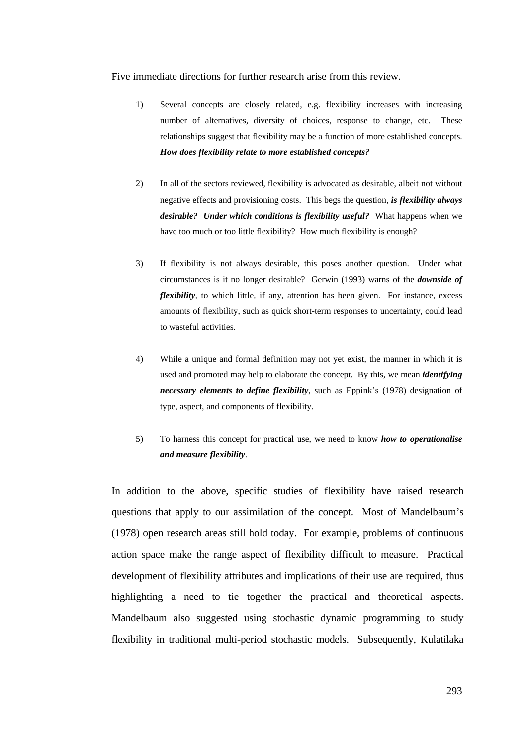Five immediate directions for further research arise from this review.

- 1) Several concepts are closely related, e.g. flexibility increases with increasing number of alternatives, diversity of choices, response to change, etc. These relationships suggest that flexibility may be a function of more established concepts. *How does flexibility relate to more established concepts?*
- 2) In all of the sectors reviewed, flexibility is advocated as desirable, albeit not without negative effects and provisioning costs. This begs the question, *is flexibility always desirable? Under which conditions is flexibility useful?* What happens when we have too much or too little flexibility? How much flexibility is enough?
- 3) If flexibility is not always desirable, this poses another question. Under what circumstances is it no longer desirable? Gerwin (1993) warns of the *downside of flexibility*, to which little, if any, attention has been given. For instance, excess amounts of flexibility, such as quick short-term responses to uncertainty, could lead to wasteful activities.
- 4) While a unique and formal definition may not yet exist, the manner in which it is used and promoted may help to elaborate the concept. By this, we mean *identifying necessary elements to define flexibility*, such as Eppink's (1978) designation of type, aspect, and components of flexibility.
- 5) To harness this concept for practical use, we need to know *how to operationalise and measure flexibility*.

In addition to the above, specific studies of flexibility have raised research questions that apply to our assimilation of the concept. Most of Mandelbaum's (1978) open research areas still hold today. For example, problems of continuous action space make the range aspect of flexibility difficult to measure. Practical development of flexibility attributes and implications of their use are required, thus highlighting a need to tie together the practical and theoretical aspects. Mandelbaum also suggested using stochastic dynamic programming to study flexibility in traditional multi-period stochastic models. Subsequently, Kulatilaka